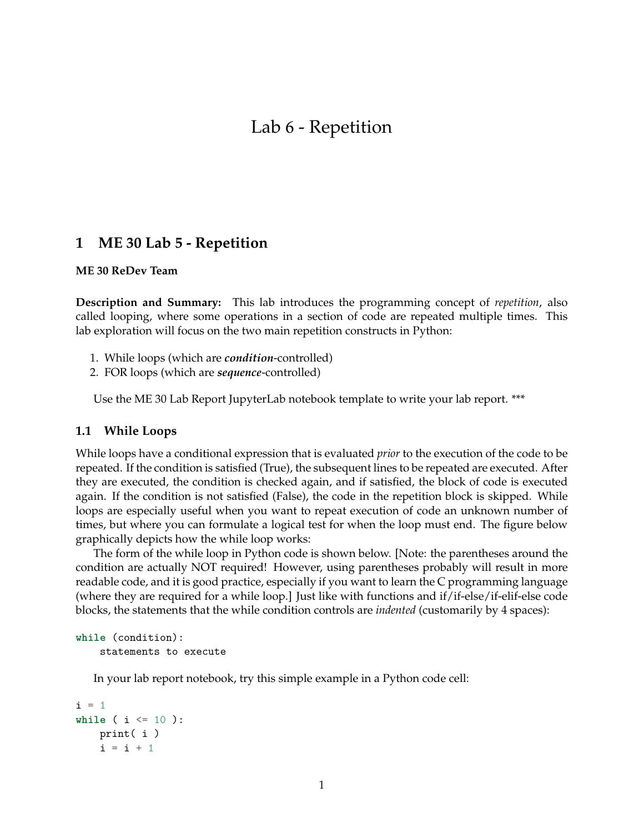# **1 ME 30 Lab 5 - Repetition**

### **ME 30 ReDev Team**

**Description and Summary:** This lab introduces the programming concept of *repetition*, also called looping, where some operations in a section of code are repeated multiple times. This lab exploration will focus on the two main repetition constructs in Python:

- 1. While loops (which are *condition*-controlled)
- 2. FOR loops (which are *sequence*-controlled)

Use the ME 30 Lab Report JupyterLab notebook template to write your lab report. \*\*\*

## **1.1 While Loops**

While loops have a conditional expression that is evaluated *prior* to the execution of the code to be repeated. If the condition is satisfied (True), the subsequent lines to be repeated are executed. After they are executed, the condition is checked again, and if satisfied, the block of code is executed again. If the condition is not satisfied (False), the code in the repetition block is skipped. While loops are especially useful when you want to repeat execution of code an unknown number of times, but where you can formulate a logical test for when the loop must end. The figure below graphically depicts how the while loop works:

The form of the while loop in Python code is shown below. [Note: the parentheses around the condition are actually NOT required! However, using parentheses probably will result in more readable code, and it is good practice, especially if you want to learn the C programming language (where they are required for a while loop.] Just like with functions and if/if-else/if-elif-else code blocks, the statements that the while condition controls are *indented* (customarily by 4 spaces):

```
while (condition):
    statements to execute
```
In your lab report notebook, try this simple example in a Python code cell:

```
i = 1while ( i <= 10 ):
   print( i )
   i = i + 1
```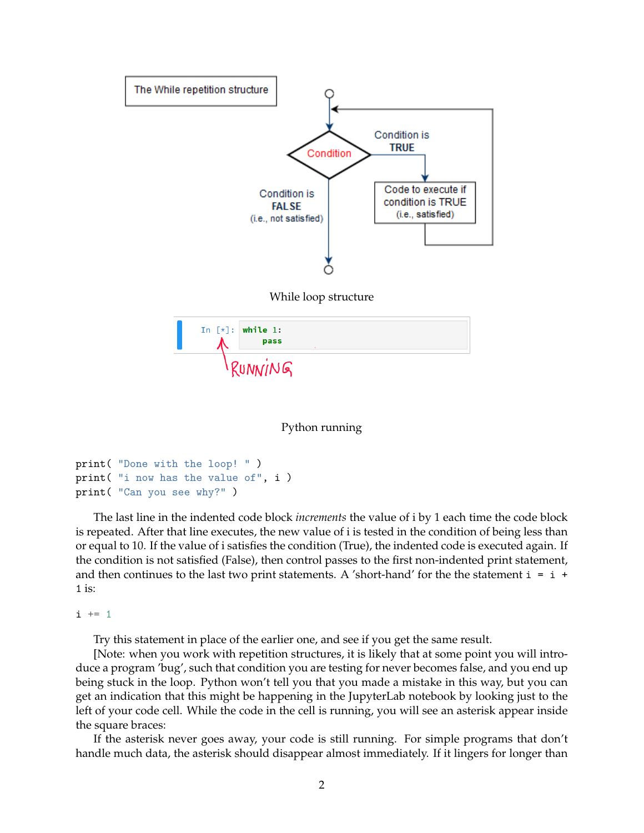

Python running

```
print( "Done with the loop! " )
print( "i now has the value of", i )
print( "Can you see why?" )
```
The last line in the indented code block *increments* the value of i by 1 each time the code block is repeated. After that line executes, the new value of i is tested in the condition of being less than or equal to 10. If the value of i satisfies the condition (True), the indented code is executed again. If the condition is not satisfied (False), then control passes to the first non-indented print statement, and then continues to the last two print statements. A 'short-hand' for the the statement  $i = i +$  $1$  is:

 $i \neq 1$ 

Try this statement in place of the earlier one, and see if you get the same result.

[Note: when you work with repetition structures, it is likely that at some point you will introduce a program 'bug', such that condition you are testing for never becomes false, and you end up being stuck in the loop. Python won't tell you that you made a mistake in this way, but you can get an indication that this might be happening in the JupyterLab notebook by looking just to the left of your code cell. While the code in the cell is running, you will see an asterisk appear inside the square braces:

If the asterisk never goes away, your code is still running. For simple programs that don't handle much data, the asterisk should disappear almost immediately. If it lingers for longer than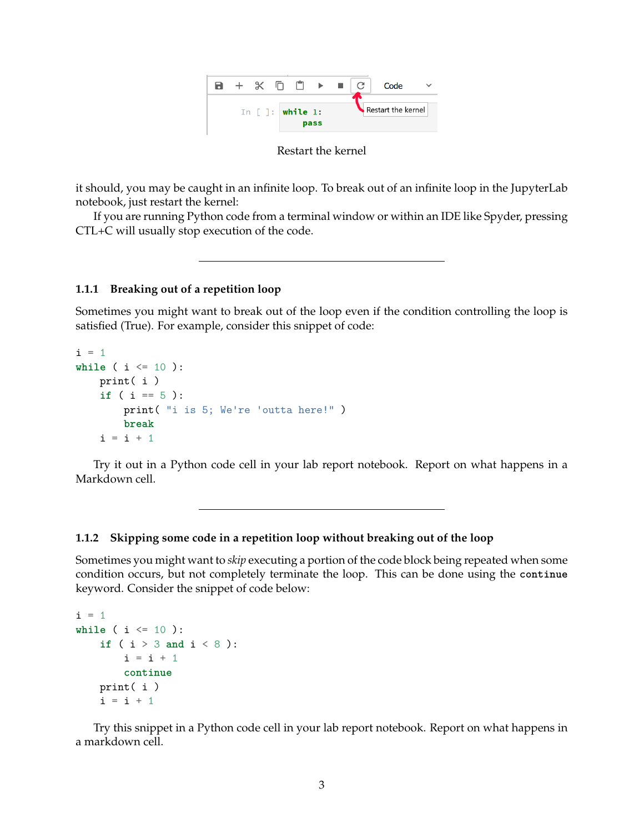

it should, you may be caught in an infinite loop. To break out of an infinite loop in the JupyterLab notebook, just restart the kernel:

If you are running Python code from a terminal window or within an IDE like Spyder, pressing CTL+C will usually stop execution of the code.

## **1.1.1 Breaking out of a repetition loop**

Sometimes you might want to break out of the loop even if the condition controlling the loop is satisfied (True). For example, consider this snippet of code:

```
i = 1while ( i <= 10 ):
   print( i )
    if ( i == 5 ):
        print( "i is 5; We're 'outta here!" )
        break
    i = i + 1
```
Try it out in a Python code cell in your lab report notebook. Report on what happens in a Markdown cell.

### **1.1.2 Skipping some code in a repetition loop without breaking out of the loop**

Sometimes you might want to *skip* executing a portion of the code block being repeated when some condition occurs, but not completely terminate the loop. This can be done using the **continue** keyword. Consider the snippet of code below:

```
i = 1while ( i \leq 10 ):
    if ( i > 3 and i < 8 ):
        i = i + 1continue
   print( i )
    i = i + 1
```
Try this snippet in a Python code cell in your lab report notebook. Report on what happens in a markdown cell.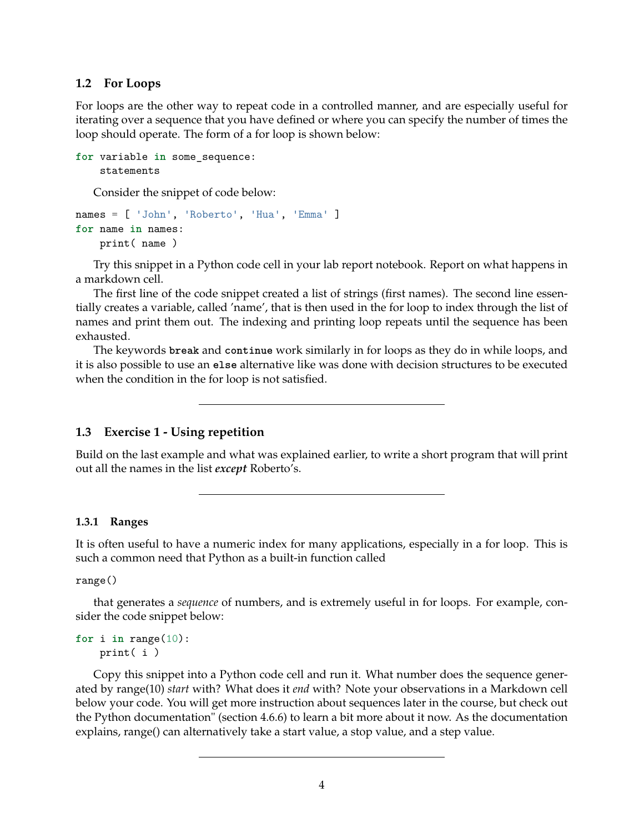### **1.2 For Loops**

For loops are the other way to repeat code in a controlled manner, and are especially useful for iterating over a sequence that you have defined or where you can specify the number of times the loop should operate. The form of a for loop is shown below:

```
for variable in some_sequence:
    statements
```
Consider the snippet of code below:

```
names = [ 'John', 'Roberto', 'Hua', 'Emma' ]
for name in names:
    print( name )
```
Try this snippet in a Python code cell in your lab report notebook. Report on what happens in a markdown cell.

The first line of the code snippet created a list of strings (first names). The second line essentially creates a variable, called 'name', that is then used in the for loop to index through the list of names and print them out. The indexing and printing loop repeats until the sequence has been exhausted.

The keywords **break** and **continue** work similarly in for loops as they do in while loops, and it is also possible to use an **else** alternative like was done with decision structures to be executed when the condition in the for loop is not satisfied.

## **1.3 Exercise 1 - Using repetition**

Build on the last example and what was explained earlier, to write a short program that will print out all the names in the list *except* Roberto's.

### **1.3.1 Ranges**

It is often useful to have a numeric index for many applications, especially in a for loop. This is such a common need that Python as a built-in function called

range()

that generates a *sequence* of numbers, and is extremely useful in for loops. For example, consider the code snippet below:

```
for i in range(10):
    print( i )
```
Copy this snippet into a Python code cell and run it. What number does the sequence generated by range(10) *start* with? What does it *end* with? Note your observations in a Markdown cell below your code. You will get more instruction about sequences later in the course, but check out the Python documentation" (section 4.6.6) to learn a bit more about it now. As the documentation explains, range() can alternatively take a start value, a stop value, and a step value.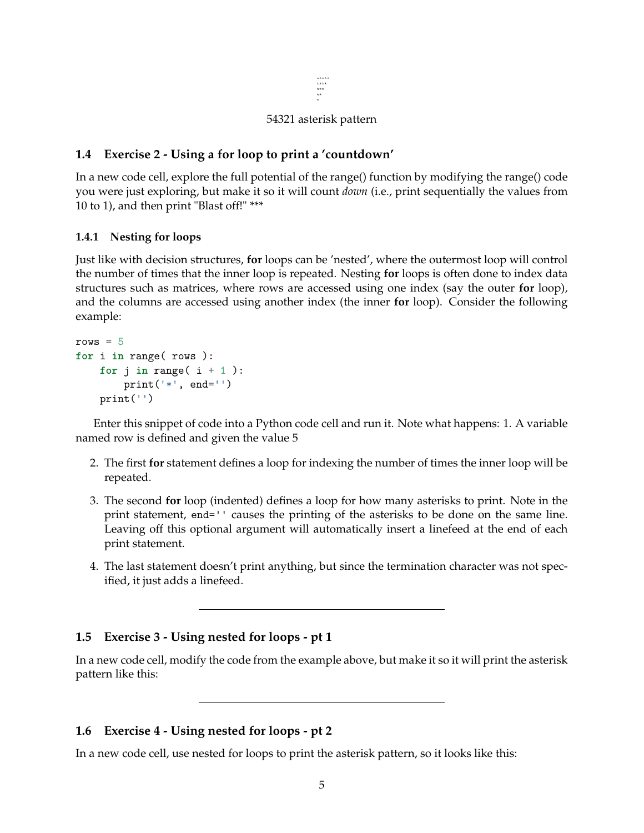```
****<br>****<br>***
```
## 54321 asterisk pattern

## **1.4 Exercise 2 - Using a for loop to print a 'countdown'**

In a new code cell, explore the full potential of the range() function by modifying the range() code you were just exploring, but make it so it will count *down* (i.e., print sequentially the values from 10 to 1), and then print "Blast off!" \*\*\*

### **1.4.1 Nesting for loops**

Just like with decision structures, **for** loops can be 'nested', where the outermost loop will control the number of times that the inner loop is repeated. Nesting **for** loops is often done to index data structures such as matrices, where rows are accessed using one index (say the outer **for** loop), and the columns are accessed using another index (the inner **for** loop). Consider the following example:

```
rows = 5for i in range( rows ):
   for j in range(i + 1):
       print('*', end='')
   print('')
```
Enter this snippet of code into a Python code cell and run it. Note what happens: 1. A variable named row is defined and given the value 5

- 2. The first **for** statement defines a loop for indexing the number of times the inner loop will be repeated.
- 3. The second **for** loop (indented) defines a loop for how many asterisks to print. Note in the print statement, end='' causes the printing of the asterisks to be done on the same line. Leaving off this optional argument will automatically insert a linefeed at the end of each print statement.
- 4. The last statement doesn't print anything, but since the termination character was not specified, it just adds a linefeed.

### **1.5 Exercise 3 - Using nested for loops - pt 1**

In a new code cell, modify the code from the example above, but make it so it will print the asterisk pattern like this:

### **1.6 Exercise 4 - Using nested for loops - pt 2**

In a new code cell, use nested for loops to print the asterisk pattern, so it looks like this: